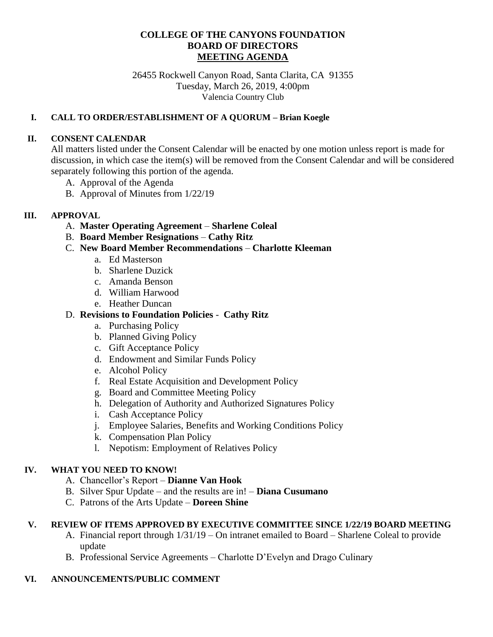## **COLLEGE OF THE CANYONS FOUNDATION BOARD OF DIRECTORS MEETING AGENDA**

26455 Rockwell Canyon Road, Santa Clarita, CA 91355 Tuesday, March 26, 2019, 4:00pm Valencia Country Club

### **I. CALL TO ORDER/ESTABLISHMENT OF A QUORUM – Brian Koegle**

#### **II. CONSENT CALENDAR**

All matters listed under the Consent Calendar will be enacted by one motion unless report is made for discussion, in which case the item(s) will be removed from the Consent Calendar and will be considered separately following this portion of the agenda.

- A. Approval of the Agenda
- B. Approval of Minutes from 1/22/19

### **III. APPROVAL**

- A. **Master Operating Agreement Sharlene Coleal**
- B. **Board Member Resignations Cathy Ritz**
- C. **New Board Member Recommendations Charlotte Kleeman**
	- a. Ed Masterson
	- b. Sharlene Duzick
	- c. Amanda Benson
	- d. William Harwood
	- e. Heather Duncan

## D. **Revisions to Foundation Policies** - **Cathy Ritz**

- a. Purchasing Policy
- b. Planned Giving Policy
- c. Gift Acceptance Policy
- d. Endowment and Similar Funds Policy
- e. Alcohol Policy
- f. Real Estate Acquisition and Development Policy
- g. Board and Committee Meeting Policy
- h. Delegation of Authority and Authorized Signatures Policy
- i. Cash Acceptance Policy
- j. Employee Salaries, Benefits and Working Conditions Policy
- k. Compensation Plan Policy
- l. Nepotism: Employment of Relatives Policy

#### **IV. WHAT YOU NEED TO KNOW!**

- A. Chancellor's Report **Dianne Van Hook**
- B. Silver Spur Update and the results are in! **Diana Cusumano**
- C. Patrons of the Arts Update **Doreen Shine**

## **V. REVIEW OF ITEMS APPROVED BY EXECUTIVE COMMITTEE SINCE 1/22/19 BOARD MEETING**

- A. Financial report through 1/31/19 On intranet emailed to Board Sharlene Coleal to provide update
- B. Professional Service Agreements Charlotte D'Evelyn and Drago Culinary

# **VI. ANNOUNCEMENTS/PUBLIC COMMENT**